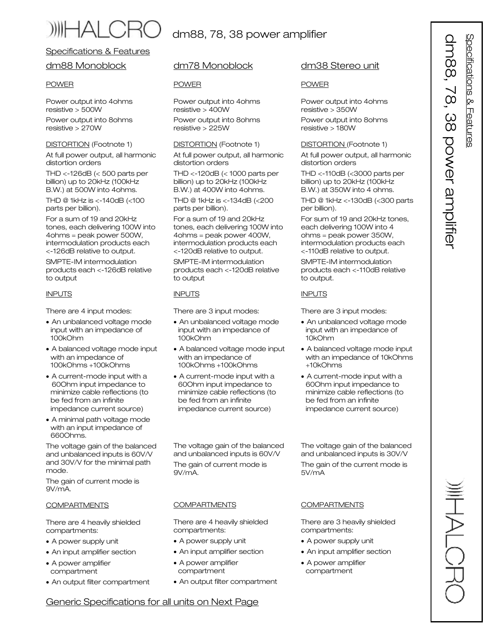# dm88, 78, 38 power amplifier

# Specifications & Features

# dm88 Monoblock

# POWER

Power output into 4ohms resistive > 500W

Power output into 8ohms resistive > 270W

# DISTORTION (Footnote 1)

At full power output, all harmonic distortion orders

THD <-126dB (< 500 parts per billion) up to 20kHz (100kHz B.W.) at 500W into 4ohms.

THD @ 1kHz is <-140dB (<100 parts per billion).

For a sum of 19 and 20kHz tones, each delivering 100W into 4ohms = peak power 500W, intermodulation products each <-126dB relative to output.

SMPTE-IM intermodulation products each <-126dB relative to output

# INPUTS

There are 4 input modes:

- · An unbalanced voltage mode input with an impedance of 100kOhm
- · A balanced voltage mode input with an impedance of 100kOhms +100kOhms
- · A current-mode input with a 60Ohm input impedance to minimize cable reflections (to be fed from an infinite impedance current source)
- · A minimal path voltage mode with an input impedance of 660Ohms.

The voltage gain of the balanced and unbalanced inputs is 60V/V and 30V/V for the minimal path mode.

The gain of current mode is 9V/mA.

# **COMPARTMENTS**

There are 4 heavily shielded compartments:

- · A power supply unit
- · An input amplifier section
- · A power amplifier compartment
- · An output filter compartment

# dm78 Monoblock

# POWER

Power output into 4ohms resistive > 400W

Power output into 8ohms resistive > 225W

## DISTORTION (Footnote 1)

At full power output, all harmonic distortion orders

THD <-120dB (< 1000 parts per billion) up to 20kHz (100kHz B.W.) at 400W into 4ohms.

THD @ 1kHz is <-134dB (<200 parts per billion).

For a sum of 19 and 20kHz tones, each delivering 100W into 4ohms = peak power 400W, intermodulation products each <-120dB relative to output.

SMPTE-IM intermodulation products each <-120dB relative to output

# INPUTS

There are 3 input modes:

- · An unbalanced voltage mode input with an impedance of 100kOhm
- · A balanced voltage mode input with an impedance of 100kOhms +100kOhms
- · A current-mode input with a 60Ohm input impedance to minimize cable reflections (to be fed from an infinite impedance current source)

The voltage gain of the balanced and unbalanced inputs is 60V/V

The gain of current mode is 9V/mA.

#### **COMPARTMENTS**

There are 4 heavily shielded compartments:

- · A power supply unit
- · An input amplifier section
- · A power amplifier compartment
- · An output filter compartment

# dm38 Stereo unit

# POWER

Power output into 4ohms resistive > 350W

Power output into 8ohms resistive > 180W

## DISTORTION (Footnote 1)

At full power output, all harmonic distortion orders

THD <-110dB (<3000 parts per billion) up to 20kHz (100kHz B.W.) at 350W into 4 ohms.

THD @ 1kHz <-130dB (<300 parts per billion).

For sum of 19 and 20kHz tones, each delivering 100W into 4 ohms = peak power 350W, intermodulation products each <-110dB relative to output.

SMPTE-IM intermodulation products each <-110dB relative to output.

# INPUTS

There are 3 input modes:

- · An unbalanced voltage mode input with an impedance of 10kOhm
- · A balanced voltage mode input with an impedance of 10kOhms +10kOhms
- · A current-mode input with a 60Ohm input impedance to minimize cable reflections (to be fed from an infinite impedance current source)

The voltage gain of the balanced and unbalanced inputs is 30V/V

The gain of the current mode is 5V/mA

# **COMPARTMENTS**

There are 3 heavily shielded compartments:

- · A power supply unit
- · An input amplifier section
- · A power amplifier compartment

atio n s & F e ature s  $\overline{\phantom{0}}$  $\widetilde{\mathbf{C}}$ ω  $\infty$  $\overline{\mathbf{C}}$ o  $\leq$  $\overline{\mathbb{Q}}$ a 3 plifie r

S p e cific

 $\overline{\Omega}$  $\exists$  $\infty$  $\widetilde{\mathbf{0}}$ 

**WHALCR** 

Generic Specifications for all units on Next Page